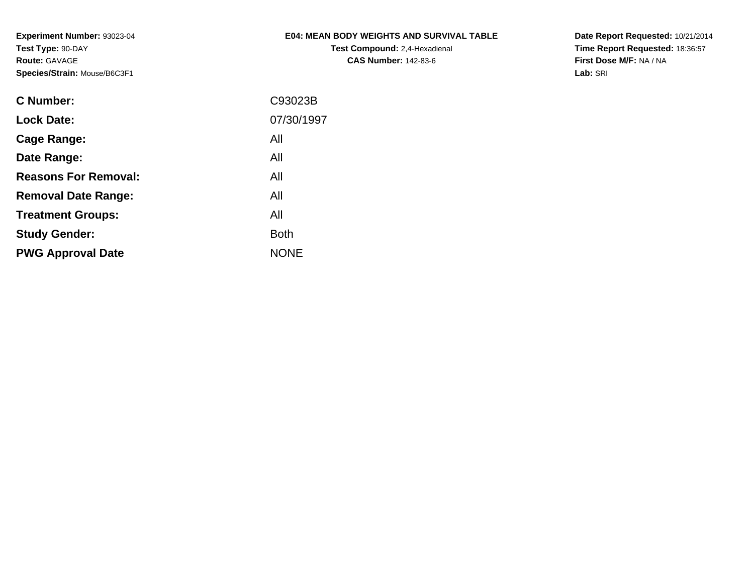**Experiment Number:** 93023-04**Test Type:** 90-DAY**Route:** GAVAGE**Species/Strain:** Mouse/B6C3F1

# **E04: MEAN BODY WEIGHTS AND SURVIVAL TABLE**

**Test Compound:** 2,4-Hexadienal **CAS Number:** 142-83-6

**Date Report Requested:** 10/21/2014 **Time Report Requested:** 18:36:57**First Dose M/F:** NA / NA**Lab:** SRI

| C Number:                   | C93023B     |
|-----------------------------|-------------|
| <b>Lock Date:</b>           | 07/30/1997  |
| Cage Range:                 | All         |
| Date Range:                 | All         |
| <b>Reasons For Removal:</b> | All         |
| <b>Removal Date Range:</b>  | All         |
| <b>Treatment Groups:</b>    | All         |
| <b>Study Gender:</b>        | <b>Both</b> |
| <b>PWG Approval Date</b>    | <b>NONE</b> |
|                             |             |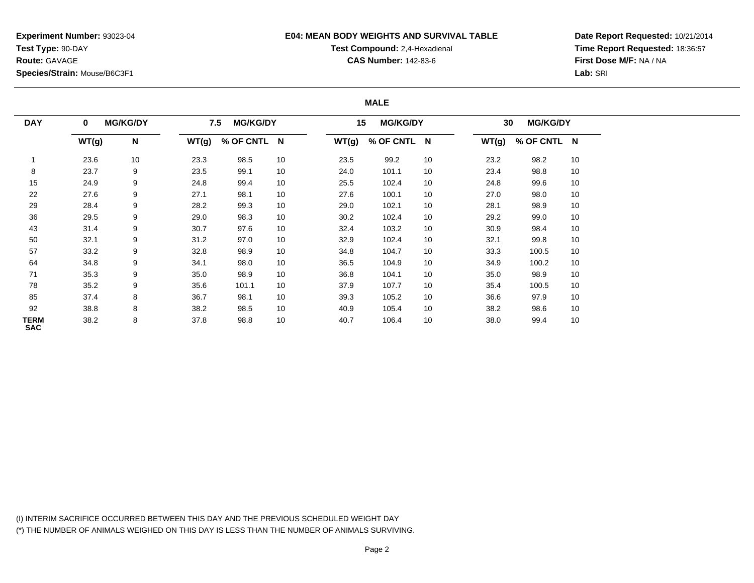**Experiment Number:** 93023-04**Test Type:** 90-DAY**Route:** GAVAGE**Species/Strain:** Mouse/B6C3F1

#### **E04: MEAN BODY WEIGHTS AND SURVIVAL TABLE**

# **Test Compound:** 2,4-Hexadienal **CAS Number:** 142-83-6

**Date Report Requested:** 10/21/2014**Time Report Requested:** 18:36:57**First Dose M/F:** NA / NA**Lab:** SRI

#### **MALE**

| <b>DAY</b>                | $\mathbf 0$ | <b>MG/KG/DY</b> |       | <b>MG/KG/DY</b><br>7.5 |    | 15 <sub>1</sub> | <b>MG/KG/DY</b> |    | 30    | <b>MG/KG/DY</b> |    |
|---------------------------|-------------|-----------------|-------|------------------------|----|-----------------|-----------------|----|-------|-----------------|----|
|                           |             |                 |       |                        |    |                 |                 |    |       |                 |    |
|                           | WT(g)       | N               | WT(g) | % OF CNTL N            |    | WT(g)           | % OF CNTL N     |    | WT(g) | % OF CNTL N     |    |
|                           | 23.6        | 10              | 23.3  | 98.5                   | 10 | 23.5            | 99.2            | 10 | 23.2  | 98.2            | 10 |
| 8                         | 23.7        | 9               | 23.5  | 99.1                   | 10 | 24.0            | 101.1           | 10 | 23.4  | 98.8            | 10 |
| 15                        | 24.9        | 9               | 24.8  | 99.4                   | 10 | 25.5            | 102.4           | 10 | 24.8  | 99.6            | 10 |
| 22                        | 27.6        | 9               | 27.1  | 98.1                   | 10 | 27.6            | 100.1           | 10 | 27.0  | 98.0            | 10 |
| 29                        | 28.4        | 9               | 28.2  | 99.3                   | 10 | 29.0            | 102.1           | 10 | 28.1  | 98.9            | 10 |
| 36                        | 29.5        | 9               | 29.0  | 98.3                   | 10 | 30.2            | 102.4           | 10 | 29.2  | 99.0            | 10 |
| 43                        | 31.4        | 9               | 30.7  | 97.6                   | 10 | 32.4            | 103.2           | 10 | 30.9  | 98.4            | 10 |
| 50                        | 32.1        | 9               | 31.2  | 97.0                   | 10 | 32.9            | 102.4           | 10 | 32.1  | 99.8            | 10 |
| 57                        | 33.2        | 9               | 32.8  | 98.9                   | 10 | 34.8            | 104.7           | 10 | 33.3  | 100.5           | 10 |
| 64                        | 34.8        | 9               | 34.1  | 98.0                   | 10 | 36.5            | 104.9           | 10 | 34.9  | 100.2           | 10 |
| 71                        | 35.3        | 9               | 35.0  | 98.9                   | 10 | 36.8            | 104.1           | 10 | 35.0  | 98.9            | 10 |
| 78                        | 35.2        | 9               | 35.6  | 101.1                  | 10 | 37.9            | 107.7           | 10 | 35.4  | 100.5           | 10 |
| 85                        | 37.4        | 8               | 36.7  | 98.1                   | 10 | 39.3            | 105.2           | 10 | 36.6  | 97.9            | 10 |
| 92                        | 38.8        | 8               | 38.2  | 98.5                   | 10 | 40.9            | 105.4           | 10 | 38.2  | 98.6            | 10 |
| <b>TERM</b><br><b>SAC</b> | 38.2        | 8               | 37.8  | 98.8                   | 10 | 40.7            | 106.4           | 10 | 38.0  | 99.4            | 10 |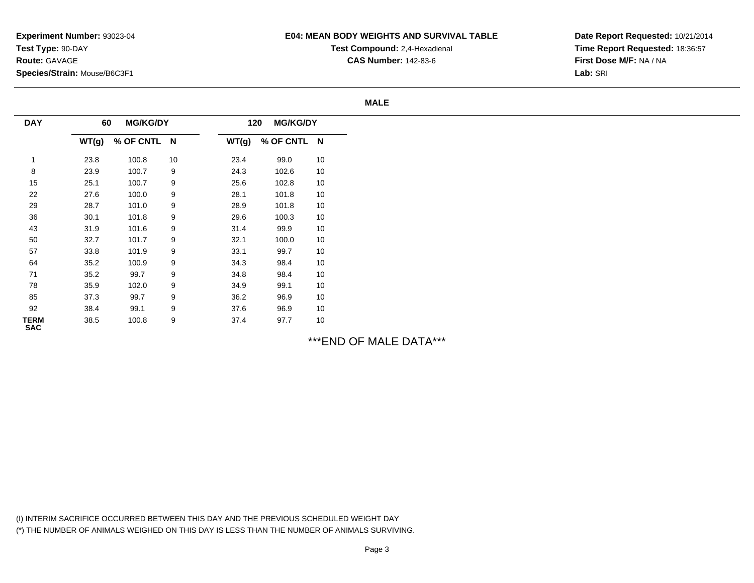### **E04: MEAN BODY WEIGHTS AND SURVIVAL TABLE**

**Test Compound:** 2,4-Hexadienal **CAS Number:** 142-83-6

**Date Report Requested:** 10/21/2014**Time Report Requested:** 18:36:57**First Dose M/F:** NA / NA**Lab:** SRI

#### **MALE**

| <b>DAY</b>                | 60    | <b>MG/KG/DY</b> |    |       | <b>MG/KG/DY</b><br>120 |                 |
|---------------------------|-------|-----------------|----|-------|------------------------|-----------------|
|                           | WT(g) | % OF CNTL N     |    | WT(g) | % OF CNTL N            |                 |
|                           | 23.8  | 100.8           | 10 | 23.4  | 99.0                   | 10              |
| 8                         | 23.9  | 100.7           | 9  | 24.3  | 102.6                  | 10              |
| 15                        | 25.1  | 100.7           | 9  | 25.6  | 102.8                  | 10              |
| 22                        | 27.6  | 100.0           | 9  | 28.1  | 101.8                  | $10\,$          |
| 29                        | 28.7  | 101.0           | 9  | 28.9  | 101.8                  | $10\,$          |
| 36                        | 30.1  | 101.8           | 9  | 29.6  | 100.3                  | 10              |
| 43                        | 31.9  | 101.6           | 9  | 31.4  | 99.9                   | 10              |
| $50\,$                    | 32.7  | 101.7           | 9  | 32.1  | 100.0                  | 10              |
| 57                        | 33.8  | 101.9           | 9  | 33.1  | 99.7                   | $10\,$          |
| 64                        | 35.2  | 100.9           | 9  | 34.3  | 98.4                   | 10 <sup>°</sup> |
| 71                        | 35.2  | 99.7            | 9  | 34.8  | 98.4                   | 10              |
| 78                        | 35.9  | 102.0           | 9  | 34.9  | 99.1                   | 10              |
| 85                        | 37.3  | 99.7            | 9  | 36.2  | 96.9                   | 10              |
| 92                        | 38.4  | 99.1            | 9  | 37.6  | 96.9                   | 10              |
| <b>TERM</b><br><b>SAC</b> | 38.5  | 100.8           | 9  | 37.4  | 97.7                   | 10              |

\*\*\*END OF MALE DATA\*\*\*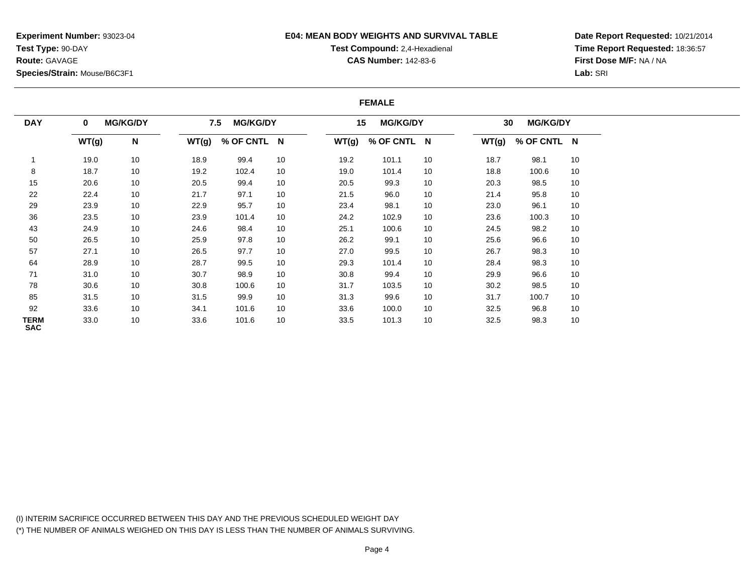**Experiment Number:** 93023-04**Test Type:** 90-DAY**Route:** GAVAGE**Species/Strain:** Mouse/B6C3F1

#### **E04: MEAN BODY WEIGHTS AND SURVIVAL TABLE**

# **Test Compound:** 2,4-Hexadienal

**CAS Number:** 142-83-6

**Date Report Requested:** 10/21/2014**Time Report Requested:** 18:36:57**First Dose M/F:** NA / NA**Lab:** SRI

#### **FEMALE**

| <b>DAY</b>                | 0     | <b>MG/KG/DY</b> |       | <b>MG/KG/DY</b><br>7.5 |    | 15    | <b>MG/KG/DY</b> |    | 30    | <b>MG/KG/DY</b> |    |
|---------------------------|-------|-----------------|-------|------------------------|----|-------|-----------------|----|-------|-----------------|----|
|                           | WT(g) | N               | WT(g) | % OF CNTL N            |    | WT(g) | % OF CNTL N     |    | WT(g) | % OF CNTL N     |    |
|                           | 19.0  | 10              | 18.9  | 99.4                   | 10 | 19.2  | 101.1           | 10 | 18.7  | 98.1            | 10 |
| 8                         | 18.7  | 10              | 19.2  | 102.4                  | 10 | 19.0  | 101.4           | 10 | 18.8  | 100.6           | 10 |
| 15                        | 20.6  | 10              | 20.5  | 99.4                   | 10 | 20.5  | 99.3            | 10 | 20.3  | 98.5            | 10 |
| 22                        | 22.4  | 10              | 21.7  | 97.1                   | 10 | 21.5  | 96.0            | 10 | 21.4  | 95.8            | 10 |
| 29                        | 23.9  | 10              | 22.9  | 95.7                   | 10 | 23.4  | 98.1            | 10 | 23.0  | 96.1            | 10 |
| 36                        | 23.5  | 10              | 23.9  | 101.4                  | 10 | 24.2  | 102.9           | 10 | 23.6  | 100.3           | 10 |
| 43                        | 24.9  | 10              | 24.6  | 98.4                   | 10 | 25.1  | 100.6           | 10 | 24.5  | 98.2            | 10 |
| 50                        | 26.5  | 10              | 25.9  | 97.8                   | 10 | 26.2  | 99.1            | 10 | 25.6  | 96.6            | 10 |
| 57                        | 27.1  | 10              | 26.5  | 97.7                   | 10 | 27.0  | 99.5            | 10 | 26.7  | 98.3            | 10 |
| 64                        | 28.9  | 10              | 28.7  | 99.5                   | 10 | 29.3  | 101.4           | 10 | 28.4  | 98.3            | 10 |
| 71                        | 31.0  | 10              | 30.7  | 98.9                   | 10 | 30.8  | 99.4            | 10 | 29.9  | 96.6            | 10 |
| 78                        | 30.6  | 10              | 30.8  | 100.6                  | 10 | 31.7  | 103.5           | 10 | 30.2  | 98.5            | 10 |
| 85                        | 31.5  | 10              | 31.5  | 99.9                   | 10 | 31.3  | 99.6            | 10 | 31.7  | 100.7           | 10 |
| 92                        | 33.6  | 10              | 34.1  | 101.6                  | 10 | 33.6  | 100.0           | 10 | 32.5  | 96.8            | 10 |
| <b>TERM</b><br><b>SAC</b> | 33.0  | 10              | 33.6  | 101.6                  | 10 | 33.5  | 101.3           | 10 | 32.5  | 98.3            | 10 |